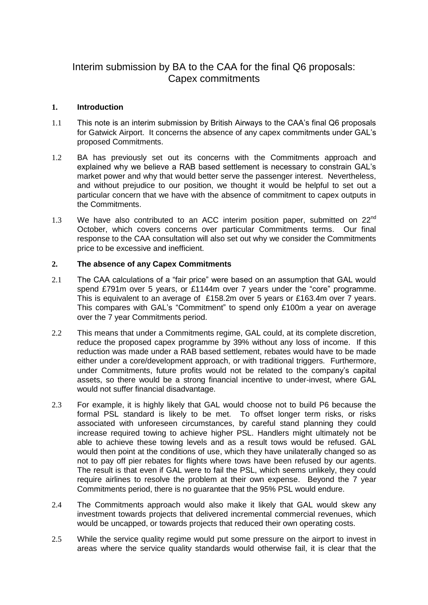## Interim submission by BA to the CAA for the final Q6 proposals: Capex commitments

## **1. Introduction**

- 1.1 This note is an interim submission by British Airways to the CAA's final Q6 proposals for Gatwick Airport. It concerns the absence of any capex commitments under GAL's proposed Commitments.
- 1.2 BA has previously set out its concerns with the Commitments approach and explained why we believe a RAB based settlement is necessary to constrain GAL's market power and why that would better serve the passenger interest. Nevertheless, and without prejudice to our position, we thought it would be helpful to set out a particular concern that we have with the absence of commitment to capex outputs in the Commitments.
- 1.3 We have also contributed to an ACC interim position paper, submitted on  $22^{nd}$ October, which covers concerns over particular Commitments terms. Our final response to the CAA consultation will also set out why we consider the Commitments price to be excessive and inefficient.

## **2. The absence of any Capex Commitments**

- 2.1 The CAA calculations of a "fair price" were based on an assumption that GAL would spend £791m over 5 years, or £1144m over 7 years under the "core" programme. This is equivalent to an average of £158.2m over 5 years or £163.4m over 7 years. This compares with GAL's "Commitment" to spend only £100m a year on average over the 7 year Commitments period.
- 2.2 This means that under a Commitments regime, GAL could, at its complete discretion, reduce the proposed capex programme by 39% without any loss of income. If this reduction was made under a RAB based settlement, rebates would have to be made either under a core/development approach, or with traditional triggers. Furthermore, under Commitments, future profits would not be related to the company's capital assets, so there would be a strong financial incentive to under-invest, where GAL would not suffer financial disadvantage.
- 2.3 For example, it is highly likely that GAL would choose not to build P6 because the formal PSL standard is likely to be met. To offset longer term risks, or risks associated with unforeseen circumstances, by careful stand planning they could increase required towing to achieve higher PSL. Handlers might ultimately not be able to achieve these towing levels and as a result tows would be refused. GAL would then point at the conditions of use, which they have unilaterally changed so as not to pay off pier rebates for flights where tows have been refused by our agents. The result is that even if GAL were to fail the PSL, which seems unlikely, they could require airlines to resolve the problem at their own expense. Beyond the 7 year Commitments period, there is no guarantee that the 95% PSL would endure.
- 2.4 The Commitments approach would also make it likely that GAL would skew any investment towards projects that delivered incremental commercial revenues, which would be uncapped, or towards projects that reduced their own operating costs.
- 2.5 While the service quality regime would put some pressure on the airport to invest in areas where the service quality standards would otherwise fail, it is clear that the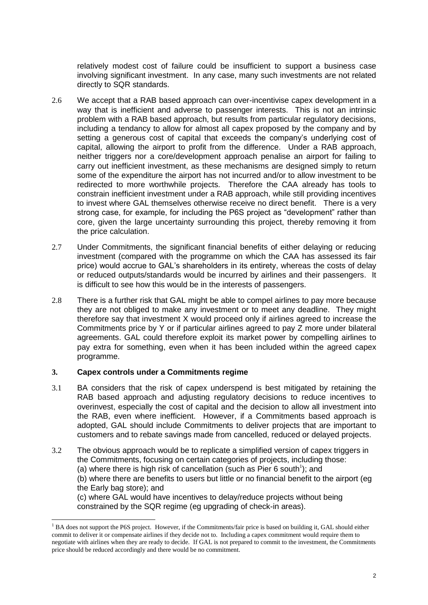relatively modest cost of failure could be insufficient to support a business case involving significant investment. In any case, many such investments are not related directly to SQR standards.

- 2.6 We accept that a RAB based approach can over-incentivise capex development in a way that is inefficient and adverse to passenger interests. This is not an intrinsic problem with a RAB based approach, but results from particular regulatory decisions, including a tendancy to allow for almost all capex proposed by the company and by setting a generous cost of capital that exceeds the company's underlying cost of capital, allowing the airport to profit from the difference. Under a RAB approach, neither triggers nor a core/development approach penalise an airport for failing to carry out inefficient investment, as these mechanisms are designed simply to return some of the expenditure the airport has not incurred and/or to allow investment to be redirected to more worthwhile projects. Therefore the CAA already has tools to constrain inefficient investment under a RAB approach, while still providing incentives to invest where GAL themselves otherwise receive no direct benefit. There is a very strong case, for example, for including the P6S project as "development" rather than core, given the large uncertainty surrounding this project, thereby removing it from the price calculation.
- 2.7 Under Commitments, the significant financial benefits of either delaying or reducing investment (compared with the programme on which the CAA has assessed its fair price) would accrue to GAL's shareholders in its entirety, whereas the costs of delay or reduced outputs/standards would be incurred by airlines and their passengers. It is difficult to see how this would be in the interests of passengers.
- 2.8 There is a further risk that GAL might be able to compel airlines to pay more because they are not obliged to make any investment or to meet any deadline. They might therefore say that investment X would proceed only if airlines agreed to increase the Commitments price by Y or if particular airlines agreed to pay Z more under bilateral agreements. GAL could therefore exploit its market power by compelling airlines to pay extra for something, even when it has been included within the agreed capex programme.

## **3. Capex controls under a Commitments regime**

1

- 3.1 BA considers that the risk of capex underspend is best mitigated by retaining the RAB based approach and adjusting regulatory decisions to reduce incentives to overinvest, especially the cost of capital and the decision to allow all investment into the RAB, even where inefficient. However, if a Commitments based approach is adopted, GAL should include Commitments to deliver projects that are important to customers and to rebate savings made from cancelled, reduced or delayed projects.
- 3.2 The obvious approach would be to replicate a simplified version of capex triggers in the Commitments, focusing on certain categories of projects, including those:

(a) where there is high risk of cancellation (such as Pier 6 south<sup>1</sup>); and

(b) where there are benefits to users but little or no financial benefit to the airport (eg the Early bag store); and

(c) where GAL would have incentives to delay/reduce projects without being constrained by the SQR regime (eg upgrading of check-in areas).

 $<sup>1</sup>$  BA does not support the P6S project. However, if the Commitments/fair price is based on building it, GAL should either</sup> commit to deliver it or compensate airlines if they decide not to. Including a capex commitment would require them to negotiate with airlines when they are ready to decide. If GAL is not prepared to commit to the investment, the Commitments price should be reduced accordingly and there would be no commitment.